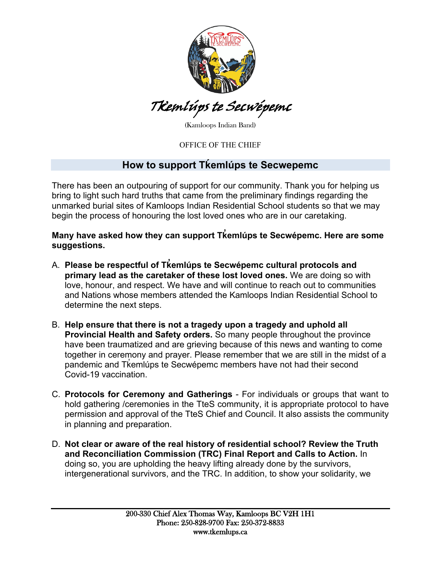

## Tk*̓*emlúps te Secwépemc

(Kamloops Indian Band)

OFFICE OF THE CHIEF

## **How to support Tḱemlúps te Secwepemc**

There has been an outpouring of support for our community. Thank you for helping us bring to light such hard truths that came from the preliminary findings regarding the unmarked burial sites of Kamloops Indian Residential School students so that we may begin the process of honouring the lost loved ones who are in our caretaking.

**Many have asked how they can support Tk emlúps te Secwépemc. Here are some ̓ suggestions.** 

- A. **Please be respectful of Tk emlúps te Secwépemc cultural protocols and ̓ primary lead as the caretaker of these lost loved ones.** We are doing so with love, honour, and respect. We have and will continue to reach out to communities and Nations whose members attended the Kamloops Indian Residential School to determine the next steps.
- B. **Help ensure that there is not a tragedy upon a tragedy and uphold all Provincial Health and Safety orders.** So many people throughout the province have been traumatized and are grieving because of this news and wanting to come together in ceremony and prayer. Please remember that we are still in the midst of a pandemic and T $k$ emlúps te Secwépemc members have not had their second Covid-19 vaccination.
- C. **Protocols for Ceremony and Gatherings** For individuals or groups that want to hold gathering /ceremonies in the TteS community, it is appropriate protocol to have permission and approval of the TteS Chief and Council. It also assists the community in planning and preparation.
- D. **Not clear or aware of the real history of residential school? Review the Truth and Reconciliation Commission (TRC) Final Report and Calls to Action.** In doing so, you are upholding the heavy lifting already done by the survivors, intergenerational survivors, and the TRC. In addition, to show your solidarity, we